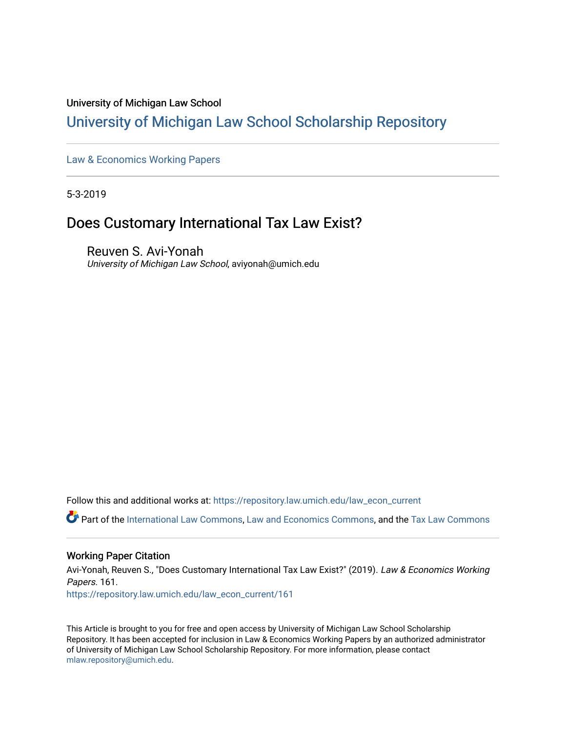#### University of Michigan Law School

# [University of Michigan Law School Scholarship Repository](https://repository.law.umich.edu/)

[Law & Economics Working Papers](https://repository.law.umich.edu/law_econ_current)

5-3-2019

# Does Customary International Tax Law Exist?

Reuven S. Avi-Yonah University of Michigan Law School, aviyonah@umich.edu

Follow this and additional works at: [https://repository.law.umich.edu/law\\_econ\\_current](https://repository.law.umich.edu/law_econ_current?utm_source=repository.law.umich.edu%2Flaw_econ_current%2F161&utm_medium=PDF&utm_campaign=PDFCoverPages) 

Part of the [International Law Commons,](http://network.bepress.com/hgg/discipline/609?utm_source=repository.law.umich.edu%2Flaw_econ_current%2F161&utm_medium=PDF&utm_campaign=PDFCoverPages) [Law and Economics Commons,](http://network.bepress.com/hgg/discipline/612?utm_source=repository.law.umich.edu%2Flaw_econ_current%2F161&utm_medium=PDF&utm_campaign=PDFCoverPages) and the [Tax Law Commons](http://network.bepress.com/hgg/discipline/898?utm_source=repository.law.umich.edu%2Flaw_econ_current%2F161&utm_medium=PDF&utm_campaign=PDFCoverPages)

#### Working Paper Citation

Avi-Yonah, Reuven S., "Does Customary International Tax Law Exist?" (2019). Law & Economics Working Papers. 161. [https://repository.law.umich.edu/law\\_econ\\_current/161](https://repository.law.umich.edu/law_econ_current/161?utm_source=repository.law.umich.edu%2Flaw_econ_current%2F161&utm_medium=PDF&utm_campaign=PDFCoverPages) 

This Article is brought to you for free and open access by University of Michigan Law School Scholarship Repository. It has been accepted for inclusion in Law & Economics Working Papers by an authorized administrator of University of Michigan Law School Scholarship Repository. For more information, please contact [mlaw.repository@umich.edu.](mailto:mlaw.repository@umich.edu)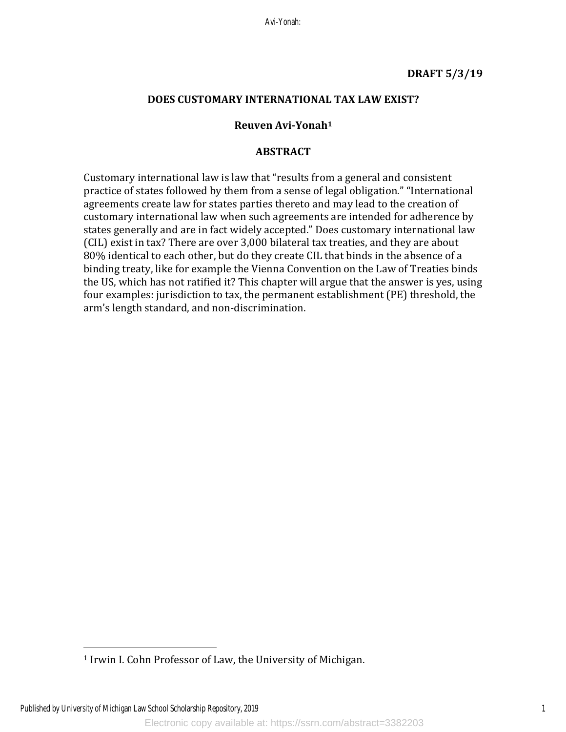### **DRAFT 5/3/19**

### **DOES CUSTOMARY INTERNATIONAL TAX LAW EXIST?**

#### **Reuven Avi-Yonah1**

#### **ABSTRACT**

Customary international law is law that "results from a general and consistent practice of states followed by them from a sense of legal obligation." "International agreements create law for states parties thereto and may lead to the creation of customary international law when such agreements are intended for adherence by states generally and are in fact widely accepted." Does customary international law (CIL) exist in tax? There are over 3,000 bilateral tax treaties, and they are about 80% identical to each other, but do they create CIL that binds in the absence of a binding treaty, like for example the Vienna Convention on the Law of Treaties binds the US, which has not ratified it? This chapter will argue that the answer is yes, using four examples: jurisdiction to tax, the permanent establishment (PE) threshold, the arm's length standard, and non-discrimination.

 $1$  Irwin I. Cohn Professor of Law, the University of Michigan.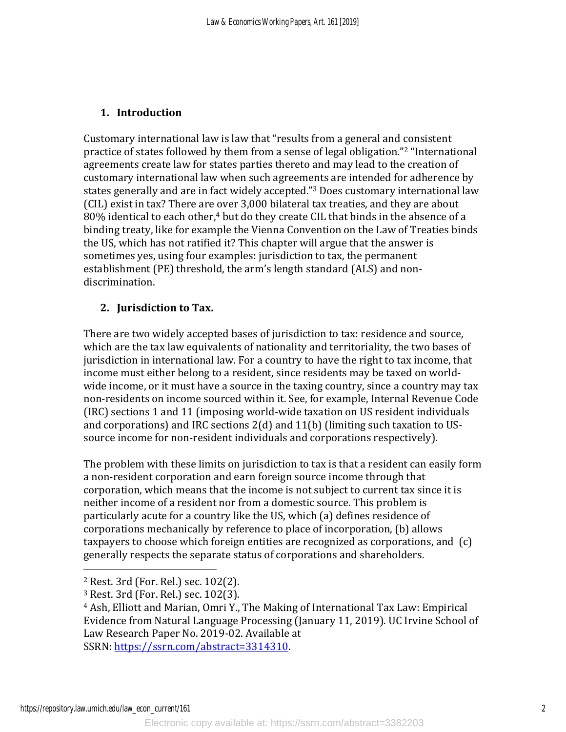## **1. Introduction**

Customary international law is law that "results from a general and consistent practice of states followed by them from a sense of legal obligation."<sup>2</sup> "International agreements create law for states parties thereto and may lead to the creation of customary international law when such agreements are intended for adherence by states generally and are in fact widely accepted."3 Does customary international law (CIL) exist in tax? There are over 3,000 bilateral tax treaties, and they are about  $80\%$  identical to each other,<sup>4</sup> but do they create CIL that binds in the absence of a binding treaty, like for example the Vienna Convention on the Law of Treaties binds the US, which has not ratified it? This chapter will argue that the answer is sometimes yes, using four examples: jurisdiction to tax, the permanent establishment (PE) threshold, the arm's length standard (ALS) and nondiscrimination.

# **2. Jurisdiction** to Tax.

There are two widely accepted bases of jurisdiction to tax: residence and source, which are the tax law equivalents of nationality and territoriality, the two bases of jurisdiction in international law. For a country to have the right to tax income, that income must either belong to a resident, since residents may be taxed on worldwide income, or it must have a source in the taxing country, since a country may tax non-residents on income sourced within it. See, for example, Internal Revenue Code (IRC) sections 1 and 11 (imposing world-wide taxation on US resident individuals and corporations) and IRC sections  $2(d)$  and  $11(b)$  (limiting such taxation to USsource income for non-resident individuals and corporations respectively).

The problem with these limits on jurisdiction to tax is that a resident can easily form a non-resident corporation and earn foreign source income through that corporation, which means that the income is not subject to current tax since it is neither income of a resident nor from a domestic source. This problem is particularly acute for a country like the US, which (a) defines residence of corporations mechanically by reference to place of incorporation, (b) allows taxpayers to choose which foreign entities are recognized as corporations, and  $(c)$ generally respects the separate status of corporations and shareholders.

 $2$  Rest. 3rd (For. Rel.) sec.  $102(2)$ .

<sup>&</sup>lt;sup>3</sup> Rest. 3rd (For. Rel.) sec. 102(3).

<sup>&</sup>lt;sup>4</sup> Ash, Elliott and Marian, Omri Y., The Making of International Tax Law: Empirical Evidence from Natural Language Processing (January 11, 2019). UC Irvine School of Law Research Paper No. 2019-02. Available at SSRN: https://ssrn.com/abstract=3314310.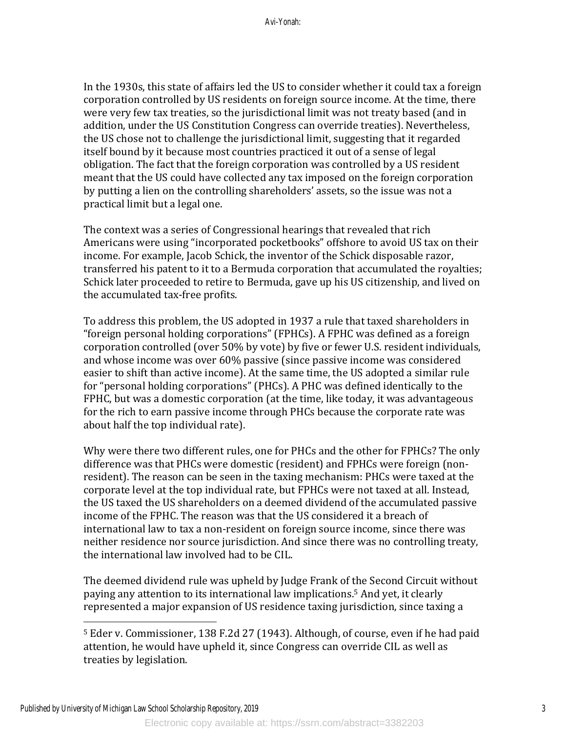In the 1930s, this state of affairs led the US to consider whether it could tax a foreign corporation controlled by US residents on foreign source income. At the time, there were very few tax treaties, so the jurisdictional limit was not treaty based (and in addition, under the US Constitution Congress can override treaties). Nevertheless, the US chose not to challenge the jurisdictional limit, suggesting that it regarded itself bound by it because most countries practiced it out of a sense of legal obligation. The fact that the foreign corporation was controlled by a US resident meant that the US could have collected any tax imposed on the foreign corporation by putting a lien on the controlling shareholders' assets, so the issue was not a practical limit but a legal one.

The context was a series of Congressional hearings that revealed that rich Americans were using "incorporated pocketbooks" offshore to avoid US tax on their income. For example, Jacob Schick, the inventor of the Schick disposable razor, transferred his patent to it to a Bermuda corporation that accumulated the royalties; Schick later proceeded to retire to Bermuda, gave up his US citizenship, and lived on the accumulated tax-free profits.

To address this problem, the US adopted in 1937 a rule that taxed shareholders in "foreign personal holding corporations" (FPHCs). A FPHC was defined as a foreign corporation controlled (over 50% by vote) by five or fewer U.S. resident individuals, and whose income was over 60% passive (since passive income was considered easier to shift than active income). At the same time, the US adopted a similar rule for "personal holding corporations" (PHCs). A PHC was defined identically to the FPHC, but was a domestic corporation (at the time, like today, it was advantageous for the rich to earn passive income through PHCs because the corporate rate was about half the top individual rate).

Why were there two different rules, one for PHCs and the other for FPHCs? The only difference was that PHCs were domestic (resident) and FPHCs were foreign (nonresident). The reason can be seen in the taxing mechanism: PHCs were taxed at the corporate level at the top individual rate, but FPHCs were not taxed at all. Instead, the US taxed the US shareholders on a deemed dividend of the accumulated passive income of the FPHC. The reason was that the US considered it a breach of international law to tax a non-resident on foreign source income, since there was neither residence nor source jurisdiction. And since there was no controlling treaty, the international law involved had to be CIL.

The deemed dividend rule was upheld by Judge Frank of the Second Circuit without paying any attention to its international law implications.<sup>5</sup> And yet, it clearly represented a major expansion of US residence taxing jurisdiction, since taxing a

<sup>&</sup>lt;sup>5</sup> Eder v. Commissioner, 138 F.2d 27 (1943). Although, of course, even if he had paid attention, he would have upheld it, since Congress can override CIL as well as treaties by legislation.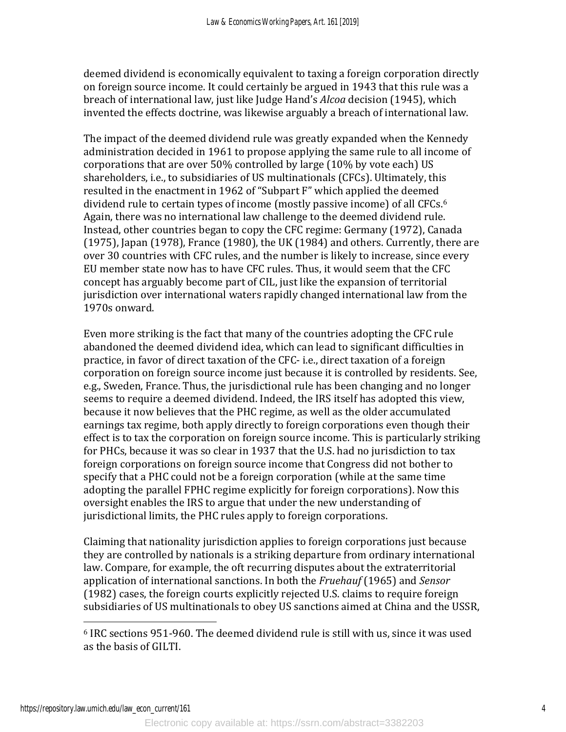deemed dividend is economically equivalent to taxing a foreign corporation directly on foreign source income. It could certainly be argued in 1943 that this rule was a breach of international law, just like Judge Hand's *Alcoa* decision (1945), which invented the effects doctrine, was likewise arguably a breach of international law.

The impact of the deemed dividend rule was greatly expanded when the Kennedy administration decided in 1961 to propose applying the same rule to all income of corporations that are over  $50\%$  controlled by large  $(10\%$  by vote each) US shareholders, i.e., to subsidiaries of US multinationals (CFCs). Ultimately, this resulted in the enactment in 1962 of "Subpart F" which applied the deemed dividend rule to certain types of income (mostly passive income) of all CFCs.<sup>6</sup> Again, there was no international law challenge to the deemed dividend rule. Instead, other countries began to copy the CFC regime: Germany (1972), Canada  $(1975)$ , Japan  $(1978)$ , France  $(1980)$ , the UK  $(1984)$  and others. Currently, there are over 30 countries with CFC rules, and the number is likely to increase, since every EU member state now has to have CFC rules. Thus, it would seem that the CFC concept has arguably become part of CIL, just like the expansion of territorial jurisdiction over international waters rapidly changed international law from the 1970s onward.

Even more striking is the fact that many of the countries adopting the CFC rule abandoned the deemed dividend idea, which can lead to significant difficulties in practice, in favor of direct taxation of the CFC- i.e., direct taxation of a foreign corporation on foreign source income just because it is controlled by residents. See, e.g., Sweden, France. Thus, the jurisdictional rule has been changing and no longer seems to require a deemed dividend. Indeed, the IRS itself has adopted this view, because it now believes that the PHC regime, as well as the older accumulated earnings tax regime, both apply directly to foreign corporations even though their effect is to tax the corporation on foreign source income. This is particularly striking for PHCs, because it was so clear in 1937 that the U.S. had no jurisdiction to tax foreign corporations on foreign source income that Congress did not bother to specify that a PHC could not be a foreign corporation (while at the same time adopting the parallel FPHC regime explicitly for foreign corporations). Now this oversight enables the IRS to argue that under the new understanding of jurisdictional limits, the PHC rules apply to foreign corporations.

Claiming that nationality jurisdiction applies to foreign corporations just because they are controlled by nationals is a striking departure from ordinary international law. Compare, for example, the oft recurring disputes about the extraterritorial application of international sanctions. In both the *Fruehauf* (1965) and *Sensor* (1982) cases, the foreign courts explicitly rejected U.S. claims to require foreign subsidiaries of US multinationals to obey US sanctions aimed at China and the USSR,

 $6$  IRC sections 951-960. The deemed dividend rule is still with us, since it was used as the basis of GILTI.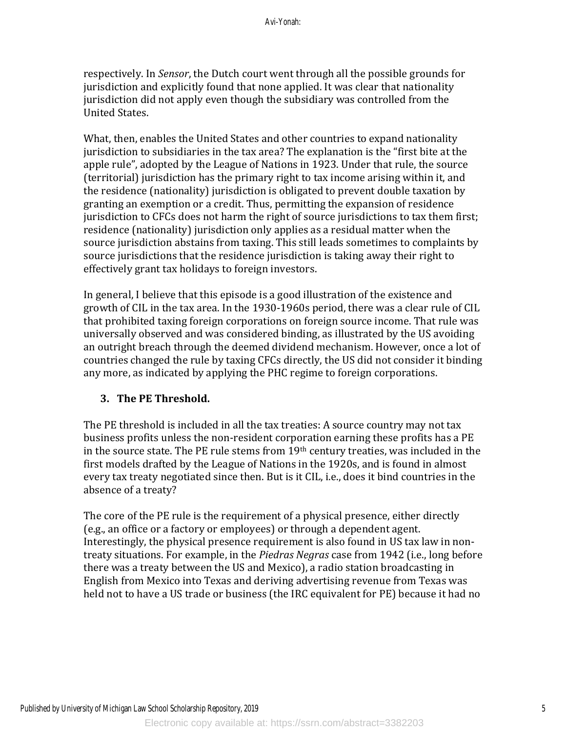respectively. In *Sensor*, the Dutch court went through all the possible grounds for jurisdiction and explicitly found that none applied. It was clear that nationality jurisdiction did not apply even though the subsidiary was controlled from the United States. 

What, then, enables the United States and other countries to expand nationality jurisdiction to subsidiaries in the tax area? The explanation is the "first bite at the apple rule", adopted by the League of Nations in 1923. Under that rule, the source (territorial) jurisdiction has the primary right to tax income arising within it, and the residence (nationality) jurisdiction is obligated to prevent double taxation by granting an exemption or a credit. Thus, permitting the expansion of residence jurisdiction to CFCs does not harm the right of source jurisdictions to tax them first; residence (nationality) jurisdiction only applies as a residual matter when the source jurisdiction abstains from taxing. This still leads sometimes to complaints by source jurisdictions that the residence jurisdiction is taking away their right to effectively grant tax holidays to foreign investors.

In general, I believe that this episode is a good illustration of the existence and growth of CIL in the tax area. In the 1930-1960s period, there was a clear rule of CIL that prohibited taxing foreign corporations on foreign source income. That rule was universally observed and was considered binding, as illustrated by the US avoiding an outright breach through the deemed dividend mechanism. However, once a lot of countries changed the rule by taxing CFCs directly, the US did not consider it binding any more, as indicated by applying the PHC regime to foreign corporations.

### **3.** The PE Threshold.

The PE threshold is included in all the tax treaties: A source country may not tax business profits unless the non-resident corporation earning these profits has a PE in the source state. The PE rule stems from  $19<sup>th</sup>$  century treaties, was included in the first models drafted by the League of Nations in the 1920s, and is found in almost every tax treaty negotiated since then. But is it CIL, i.e., does it bind countries in the absence of a treaty?

The core of the PE rule is the requirement of a physical presence, either directly (e.g., an office or a factory or employees) or through a dependent agent. Interestingly, the physical presence requirement is also found in US tax law in nontreaty situations. For example, in the *Piedras Negras* case from 1942 (i.e., long before there was a treaty between the US and Mexico), a radio station broadcasting in English from Mexico into Texas and deriving advertising revenue from Texas was held not to have a US trade or business (the IRC equivalent for PE) because it had no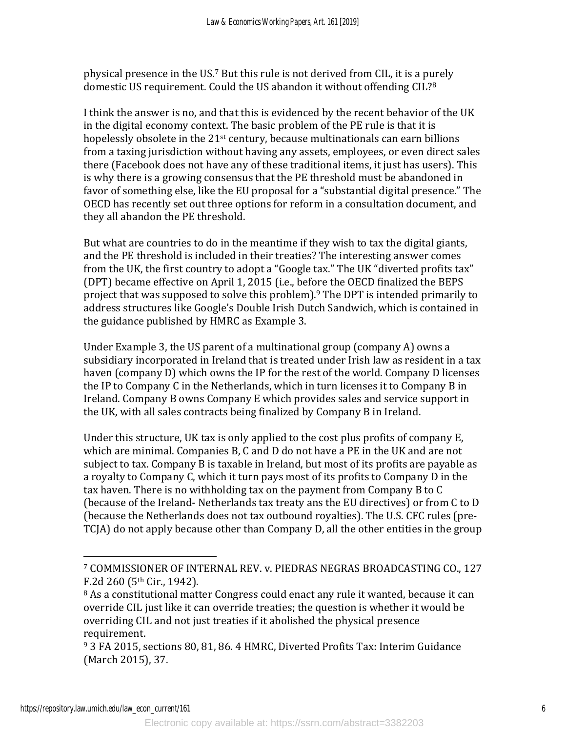physical presence in the US.<sup>7</sup> But this rule is not derived from CIL, it is a purely domestic US requirement. Could the US abandon it without offending CIL?<sup>8</sup>

I think the answer is no, and that this is evidenced by the recent behavior of the UK in the digital economy context. The basic problem of the PE rule is that it is hopelessly obsolete in the  $21<sup>st</sup>$  century, because multinationals can earn billions from a taxing jurisdiction without having any assets, employees, or even direct sales there (Facebook does not have any of these traditional items, it just has users). This is why there is a growing consensus that the PE threshold must be abandoned in favor of something else, like the EU proposal for a "substantial digital presence." The OECD has recently set out three options for reform in a consultation document, and they all abandon the PE threshold.

But what are countries to do in the meantime if they wish to tax the digital giants, and the PE threshold is included in their treaties? The interesting answer comes from the UK, the first country to adopt a "Google tax." The UK "diverted profits tax" (DPT) became effective on April 1, 2015 (i.e., before the OECD finalized the BEPS project that was supposed to solve this problem).<sup>9</sup> The DPT is intended primarily to address structures like Google's Double Irish Dutch Sandwich, which is contained in the guidance published by HMRC as Example 3.

Under Example 3, the US parent of a multinational group (company A) owns a subsidiary incorporated in Ireland that is treated under Irish law as resident in a tax haven (company D) which owns the IP for the rest of the world. Company D licenses the IP to Company C in the Netherlands, which in turn licenses it to Company B in Ireland. Company B owns Company E which provides sales and service support in the UK, with all sales contracts being finalized by Company B in Ireland.

Under this structure, UK tax is only applied to the cost plus profits of company E, which are minimal. Companies  $B$ ,  $C$  and  $D$  do not have a  $PE$  in the UK and are not subject to tax. Company B is taxable in Ireland, but most of its profits are payable as a royalty to Company C, which it turn pays most of its profits to Company D in the tax haven. There is no withholding tax on the payment from Company B to C (because of the Ireland- Netherlands tax treaty ans the EU directives) or from C to D (because the Netherlands does not tax outbound royalties). The U.S. CFC rules (pre-TCJA) do not apply because other than Company D, all the other entities in the group

<sup>&</sup>lt;sup>7</sup> COMMISSIONER OF INTERNAL REV. v. PIEDRAS NEGRAS BROADCASTING CO., 127 F.2d 260 (5th Cir., 1942).

 $8$  As a constitutional matter Congress could enact any rule it wanted, because it can override CIL just like it can override treaties; the question is whether it would be overriding CIL and not just treaties if it abolished the physical presence requirement.

<sup>&</sup>lt;sup>9</sup> 3 FA 2015, sections 80, 81, 86. 4 HMRC, Diverted Profits Tax: Interim Guidance (March 2015), 37.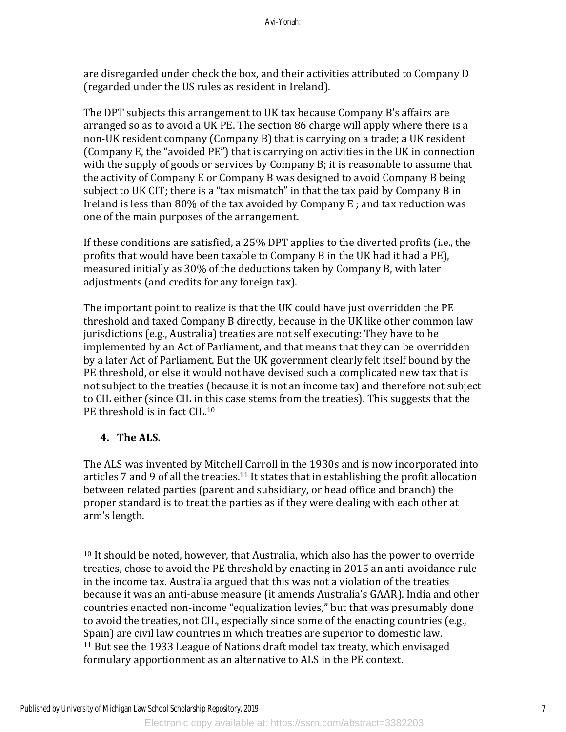are disregarded under check the box, and their activities attributed to Company D (regarded under the US rules as resident in Ireland).

The DPT subjects this arrangement to UK tax because Company B's affairs are arranged so as to avoid a UK PE. The section 86 charge will apply where there is a non-UK resident company (Company B) that is carrying on a trade; a UK resident (Company E, the "avoided PE") that is carrying on activities in the UK in connection with the supply of goods or services by Company  $B$ ; it is reasonable to assume that the activity of Company E or Company B was designed to avoid Company B being subject to UK CIT; there is a "tax mismatch" in that the tax paid by Company B in Ireland is less than  $80\%$  of the tax avoided by Company E ; and tax reduction was one of the main purposes of the arrangement.

If these conditions are satisfied, a  $25\%$  DPT applies to the diverted profits (i.e., the profits that would have been taxable to Company B in the UK had it had a PE). measured initially as 30% of the deductions taken by Company B, with later adjustments (and credits for any foreign tax).

The important point to realize is that the UK could have just overridden the PE threshold and taxed Company B directly, because in the UK like other common law jurisdictions (e.g., Australia) treaties are not self executing: They have to be implemented by an Act of Parliament, and that means that they can be overridden by a later Act of Parliament. But the UK government clearly felt itself bound by the PE threshold, or else it would not have devised such a complicated new tax that is not subject to the treaties (because it is not an income tax) and therefore not subject to CIL either (since CIL in this case stems from the treaties). This suggests that the PE threshold is in fact  $CIL^{10}$ 

# **4. The ALS.**

 

The ALS was invented by Mitchell Carroll in the 1930s and is now incorporated into articles  $7$  and  $9$  of all the treaties.<sup>11</sup> It states that in establishing the profit allocation between related parties (parent and subsidiary, or head office and branch) the proper standard is to treat the parties as if they were dealing with each other at arm's length.

Published by University of Michigan Law School Scholarship Repository, 2019

 $10$  It should be noted, however, that Australia, which also has the power to override treaties, chose to avoid the PE threshold by enacting in 2015 an anti-avoidance rule in the income tax. Australia argued that this was not a violation of the treaties because it was an anti-abuse measure (it amends Australia's GAAR). India and other countries enacted non-income "equalization levies," but that was presumably done to avoid the treaties, not CIL, especially since some of the enacting countries (e.g., Spain) are civil law countries in which treaties are superior to domestic law.  $11$  But see the 1933 League of Nations draft model tax treaty, which envisaged formulary apportionment as an alternative to ALS in the PE context.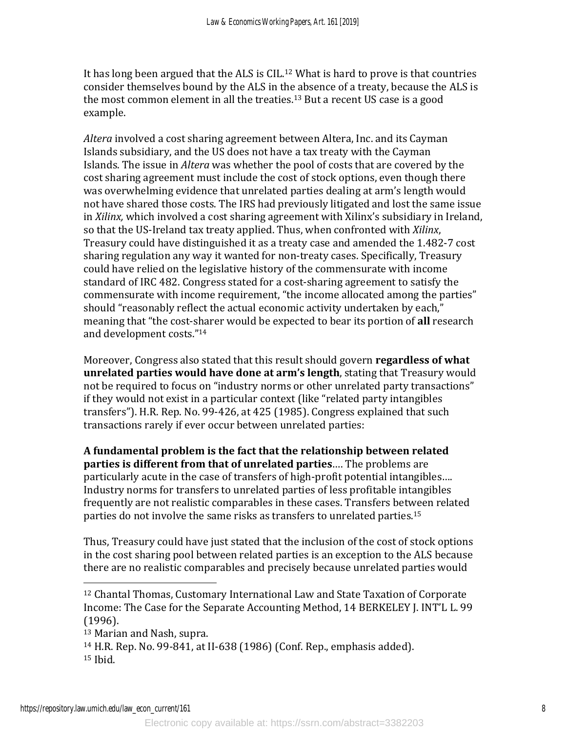It has long been argued that the ALS is  $CIL^{12}$  What is hard to prove is that countries consider themselves bound by the ALS in the absence of a treaty, because the ALS is the most common element in all the treaties.<sup>13</sup> But a recent US case is a good example.

*Altera* involved a cost sharing agreement between Altera, Inc. and its Cayman Islands subsidiary, and the US does not have a tax treaty with the Cayman Islands. The issue in *Altera* was whether the pool of costs that are covered by the cost sharing agreement must include the cost of stock options, even though there was overwhelming evidence that unrelated parties dealing at arm's length would not have shared those costs. The IRS had previously litigated and lost the same issue in *Xilinx*, which involved a cost sharing agreement with Xilinx's subsidiary in Ireland, so that the US-Ireland tax treaty applied. Thus, when confronted with *Xilinx*, Treasury could have distinguished it as a treaty case and amended the 1.482-7 cost sharing regulation any way it wanted for non-treaty cases. Specifically, Treasury could have relied on the legislative history of the commensurate with income standard of IRC 482. Congress stated for a cost-sharing agreement to satisfy the commensurate with income requirement, "the income allocated among the parties" should "reasonably reflect the actual economic activity undertaken by each," meaning that "the cost-sharer would be expected to bear its portion of **all** research and development costs."<sup>14</sup>

Moreover, Congress also stated that this result should govern **regardless of what unrelated parties would have done at arm's length**, stating that Treasury would not be required to focus on "industry norms or other unrelated party transactions" if they would not exist in a particular context (like "related party intangibles transfers"). H.R. Rep. No. 99-426, at 425 (1985). Congress explained that such transactions rarely if ever occur between unrelated parties:

**A** fundamental problem is the fact that the relationship between related **parties is different from that of unrelated parties....** The problems are particularly acute in the case of transfers of high-profit potential intangibles.... Industry norms for transfers to unrelated parties of less profitable intangibles frequently are not realistic comparables in these cases. Transfers between related parties do not involve the same risks as transfers to unrelated parties.<sup>15</sup>

Thus, Treasury could have just stated that the inclusion of the cost of stock options in the cost sharing pool between related parties is an exception to the ALS because there are no realistic comparables and precisely because unrelated parties would

<sup>&</sup>lt;sup>12</sup> Chantal Thomas, Customary International Law and State Taxation of Corporate Income: The Case for the Separate Accounting Method, 14 BERKELEY J. INT'L L. 99 (1996). 

<sup>&</sup>lt;sup>13</sup> Marian and Nash, supra.

<sup>&</sup>lt;sup>14</sup> H.R. Rep. No. 99-841, at II-638 (1986) (Conf. Rep., emphasis added).  $15$  Ibid.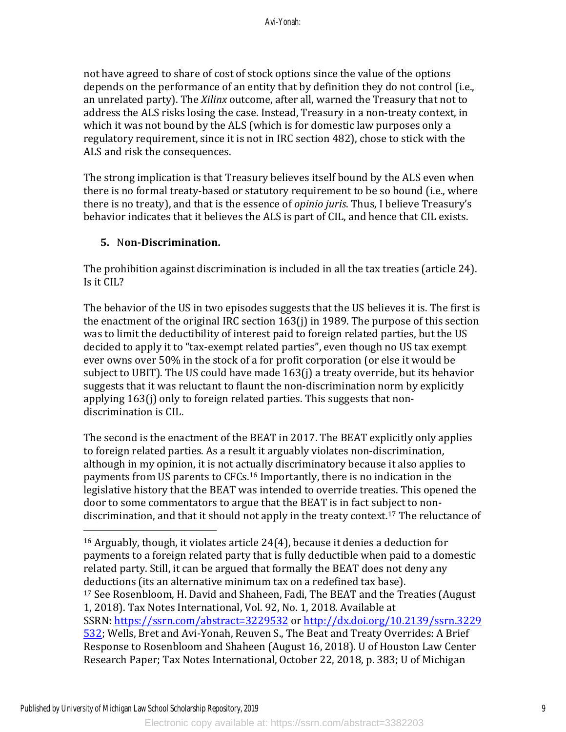not have agreed to share of cost of stock options since the value of the options depends on the performance of an entity that by definition they do not control (i.e., an unrelated party). The *Xilinx* outcome, after all, warned the Treasury that not to address the ALS risks losing the case. Instead, Treasury in a non-treaty context, in which it was not bound by the ALS (which is for domestic law purposes only a regulatory requirement, since it is not in IRC section 482), chose to stick with the ALS and risk the consequences.

The strong implication is that Treasury believes itself bound by the ALS even when there is no formal treaty-based or statutory requirement to be so bound (i.e., where there is no treaty), and that is the essence of *opinio juris*. Thus, I believe Treasury's behavior indicates that it believes the ALS is part of CIL, and hence that CIL exists.

### **5.** N**on-Discrimination.**

The prohibition against discrimination is included in all the tax treaties (article 24). Is it CIL?

The behavior of the US in two episodes suggests that the US believes it is. The first is the enactment of the original IRC section  $163(i)$  in 1989. The purpose of this section was to limit the deductibility of interest paid to foreign related parties, but the US decided to apply it to "tax-exempt related parties", even though no US tax exempt ever owns over 50% in the stock of a for profit corporation (or else it would be subject to UBIT). The US could have made  $163(i)$  a treaty override, but its behavior suggests that it was reluctant to flaunt the non-discrimination norm by explicitly applying  $163(i)$  only to foreign related parties. This suggests that nondiscrimination is CIL.

The second is the enactment of the BEAT in 2017. The BEAT explicitly only applies to foreign related parties. As a result it arguably violates non-discrimination, although in my opinion, it is not actually discriminatory because it also applies to payments from US parents to CFCs.<sup>16</sup> Importantly, there is no indication in the legislative history that the BEAT was intended to override treaties. This opened the door to some commentators to argue that the BEAT is in fact subject to nondiscrimination, and that it should not apply in the treaty context.<sup>17</sup> The reluctance of

<sup>&</sup>lt;sup>16</sup> Arguably, though, it violates article  $24(4)$ , because it denies a deduction for payments to a foreign related party that is fully deductible when paid to a domestic related party. Still, it can be argued that formally the BEAT does not deny any deductions (its an alternative minimum tax on a redefined tax base).

<sup>&</sup>lt;sup>17</sup> See Rosenbloom, H. David and Shaheen, Fadi, The BEAT and the Treaties (August 1, 2018). Tax Notes International, Vol. 92, No. 1, 2018. Available at

SSRN: https://ssrn.com/abstract=3229532 or http://dx.doi.org/10.2139/ssrn.3229

<sup>532;</sup> Wells, Bret and Avi-Yonah, Reuven S., The Beat and Treaty Overrides: A Brief Response to Rosenbloom and Shaheen (August 16, 2018). U of Houston Law Center Research Paper; Tax Notes International, October 22, 2018, p. 383; U of Michigan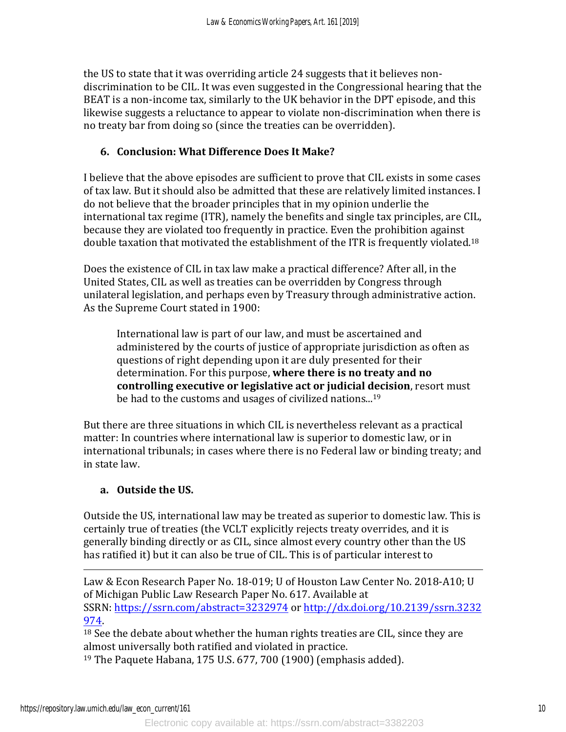the US to state that it was overriding article 24 suggests that it believes nondiscrimination to be CIL. It was even suggested in the Congressional hearing that the BEAT is a non-income tax, similarly to the UK behavior in the DPT episode, and this likewise suggests a reluctance to appear to violate non-discrimination when there is no treaty bar from doing so (since the treaties can be overridden).

## **6. Conclusion: What Difference Does It Make?**

I believe that the above episodes are sufficient to prove that CIL exists in some cases of tax law. But it should also be admitted that these are relatively limited instances. I do not believe that the broader principles that in my opinion underlie the international tax regime (ITR), namely the benefits and single tax principles, are CIL, because they are violated too frequently in practice. Even the prohibition against double taxation that motivated the establishment of the ITR is frequently violated.<sup>18</sup>

Does the existence of CIL in tax law make a practical difference? After all, in the United States, CIL as well as treaties can be overridden by Congress through unilateral legislation, and perhaps even by Treasury through administrative action. As the Supreme Court stated in 1900:

International law is part of our law, and must be ascertained and administered by the courts of justice of appropriate jurisdiction as often as questions of right depending upon it are duly presented for their determination. For this purpose, where there is no treaty and no **controlling executive or legislative act or judicial decision, resort must** be had to the customs and usages of civilized nations...<sup>19</sup>

But there are three situations in which CIL is nevertheless relevant as a practical matter: In countries where international law is superior to domestic law, or in international tribunals; in cases where there is no Federal law or binding treaty; and in state law.

### **a. Outside the US.**

Outside the US, international law may be treated as superior to domestic law. This is certainly true of treaties (the VCLT explicitly rejects treaty overrides, and it is generally binding directly or as CIL, since almost every country other than the US has ratified it) but it can also be true of CIL. This is of particular interest to

<u> 1989 - Andrea San Andrea San Andrea San Andrea San Andrea San Andrea San Andrea San Andrea San Andrea San An</u> Law & Econ Research Paper No. 18-019; U of Houston Law Center No. 2018-A10; U of Michigan Public Law Research Paper No. 617. Available at SSRN: https://ssrn.com/abstract=3232974 or http://dx.doi.org/10.2139/ssrn.3232 974.

 $18$  See the debate about whether the human rights treaties are CIL, since they are almost universally both ratified and violated in practice.

 $19$  The Paquete Habana, 175 U.S. 677, 700 (1900) (emphasis added).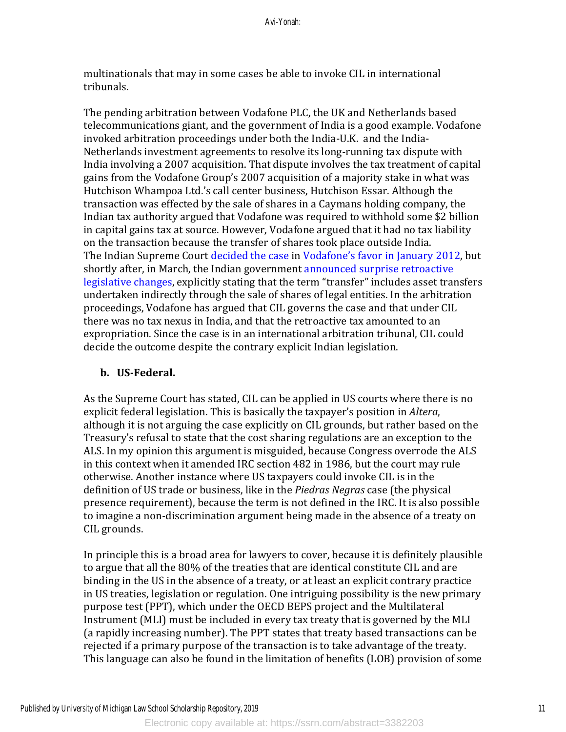multinationals that may in some cases be able to invoke CIL in international tribunals.

The pending arbitration between Vodafone PLC, the UK and Netherlands based telecommunications giant, and the government of India is a good example. Vodafone invoked arbitration proceedings under both the India-U.K. and the India-Netherlands investment agreements to resolve its long-running tax dispute with India involving a 2007 acquisition. That dispute involves the tax treatment of capital gains from the Vodafone Group's 2007 acquisition of a majority stake in what was Hutchison Whampoa Ltd.'s call center business, Hutchison Essar. Although the transaction was effected by the sale of shares in a Caymans holding company, the Indian tax authority argued that Vodafone was required to withhold some \$2 billion in capital gains tax at source. However, Vodafone argued that it had no tax liability on the transaction because the transfer of shares took place outside India. The Indian Supreme Court decided the case in Vodafone's favor in January 2012, but shortly after, in March, the Indian government announced surprise retroactive legislative changes, explicitly stating that the term "transfer" includes asset transfers undertaken indirectly through the sale of shares of legal entities. In the arbitration proceedings, Vodafone has argued that CIL governs the case and that under CIL there was no tax nexus in India, and that the retroactive tax amounted to an expropriation. Since the case is in an international arbitration tribunal, CIL could decide the outcome despite the contrary explicit Indian legislation.

### **b. US-Federal.**

As the Supreme Court has stated, CIL can be applied in US courts where there is no explicit federal legislation. This is basically the taxpayer's position in *Altera*, although it is not arguing the case explicitly on CIL grounds, but rather based on the Treasury's refusal to state that the cost sharing regulations are an exception to the ALS. In my opinion this argument is misguided, because Congress overrode the ALS in this context when it amended IRC section 482 in 1986, but the court may rule otherwise. Another instance where US taxpayers could invoke CIL is in the definition of US trade or business, like in the *Piedras Negras* case (the physical presence requirement), because the term is not defined in the IRC. It is also possible to imagine a non-discrimination argument being made in the absence of a treaty on CIL grounds.

In principle this is a broad area for lawyers to cover, because it is definitely plausible to argue that all the 80% of the treaties that are identical constitute CIL and are binding in the US in the absence of a treaty, or at least an explicit contrary practice in US treaties, legislation or regulation. One intriguing possibility is the new primary purpose test (PPT), which under the OECD BEPS project and the Multilateral Instrument (MLI) must be included in every tax treaty that is governed by the MLI (a rapidly increasing number). The PPT states that treaty based transactions can be rejected if a primary purpose of the transaction is to take advantage of the treaty. This language can also be found in the limitation of benefits (LOB) provision of some